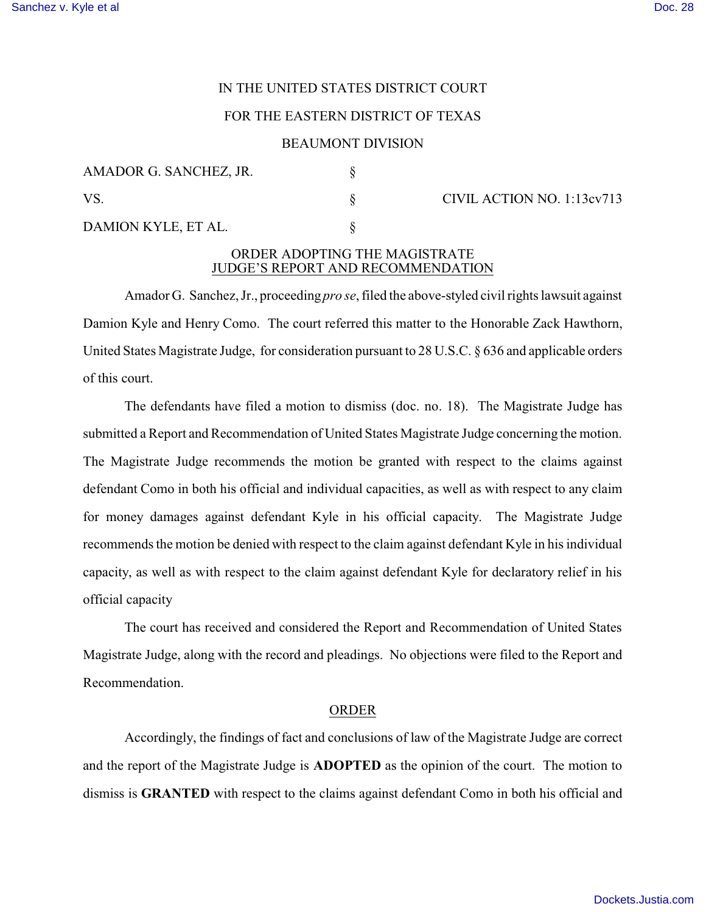# IN THE UNITED STATES DISTRICT COURT

# FOR THE EASTERN DISTRICT OF TEXAS

#### BEAUMONT DIVISION

| AMADOR G. SANCHEZ, JR. |  |
|------------------------|--|
| VS.                    |  |
| DAMION KYLE, ET AL.    |  |

 $\S$  CIVIL ACTION NO. 1:13cv713

## ORDER ADOPTING THE MAGISTRATE JUDGE'S REPORT AND RECOMMENDATION

Amador G. Sanchez,Jr., proceeding *pro se*, filed the above-styled civil rights lawsuit against Damion Kyle and Henry Como. The court referred this matter to the Honorable Zack Hawthorn, United States Magistrate Judge, for consideration pursuant to 28 U.S.C. § 636 and applicable orders of this court.

The defendants have filed a motion to dismiss (doc. no. 18). The Magistrate Judge has submitted a Report and Recommendation of United States Magistrate Judge concerning the motion. The Magistrate Judge recommends the motion be granted with respect to the claims against defendant Como in both his official and individual capacities, as well as with respect to any claim for money damages against defendant Kyle in his official capacity. The Magistrate Judge recommends the motion be denied with respect to the claim against defendant Kyle in his individual capacity, as well as with respect to the claim against defendant Kyle for declaratory relief in his official capacity

The court has received and considered the Report and Recommendation of United States Magistrate Judge, along with the record and pleadings. No objections were filed to the Report and Recommendation.

### ORDER

Accordingly, the findings of fact and conclusions of law of the Magistrate Judge are correct and the report of the Magistrate Judge is **ADOPTED** as the opinion of the court. The motion to dismiss is **GRANTED** with respect to the claims against defendant Como in both his official and